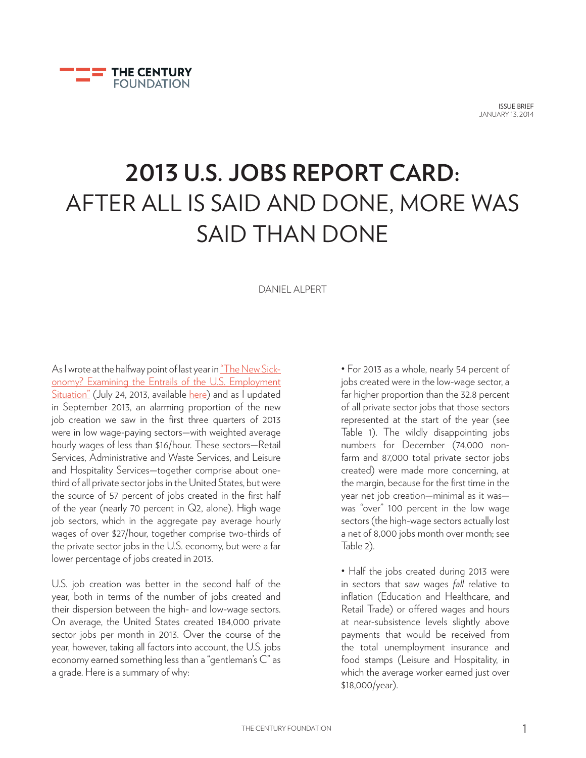

ISSUE BRIEF JANUARY 13, 2014

# **2013 U.S. JOBS REPORT CARD:** AFTER ALL IS SAID AND DONE, MORE WAS SAID THAN DONE

DANIEL ALPERT

As I wrote at the halfway point of last year in "The New Sickonomy? Examining the Entrails of the U.S. Employment Situation" (July 24, 2013, available here) and as I updated in September 2013, an alarming proportion of the new job creation we saw in the first three quarters of 2013 were in low wage-paying sectors—with weighted average hourly wages of less than \$16/hour. These sectors—Retail Services, Administrative and Waste Services, and Leisure and Hospitality Services—together comprise about onethird of all private sector jobs in the United States, but were the source of 57 percent of jobs created in the first half of the year (nearly 70 percent in Q2, alone). High wage job sectors, which in the aggregate pay average hourly wages of over \$27/hour, together comprise two-thirds of the private sector jobs in the U.S. economy, but were a far lower percentage of jobs created in 2013.

U.S. job creation was better in the second half of the year, both in terms of the number of jobs created and their dispersion between the high- and low-wage sectors. On average, the United States created 184,000 private sector jobs per month in 2013. Over the course of the year, however, taking all factors into account, the U.S. jobs economy earned something less than a "gentleman's C" as a grade. Here is a summary of why:

• For 2013 as a whole, nearly 54 percent of jobs created were in the low-wage sector, a far higher proportion than the 32.8 percent of all private sector jobs that those sectors represented at the start of the year (see Table 1). The wildly disappointing jobs numbers for December (74,000 nonfarm and 87,000 total private sector jobs created) were made more concerning, at the margin, because for the first time in the year net job creation—minimal as it was was "over" 100 percent in the low wage sectors (the high-wage sectors actually lost a net of 8,000 jobs month over month; see Table 2).

• Half the jobs created during 2013 were in sectors that saw wages *fall* relative to inflation (Education and Healthcare, and Retail Trade) or offered wages and hours at near-subsistence levels slightly above payments that would be received from the total unemployment insurance and food stamps (Leisure and Hospitality, in which the average worker earned just over \$18,000/year).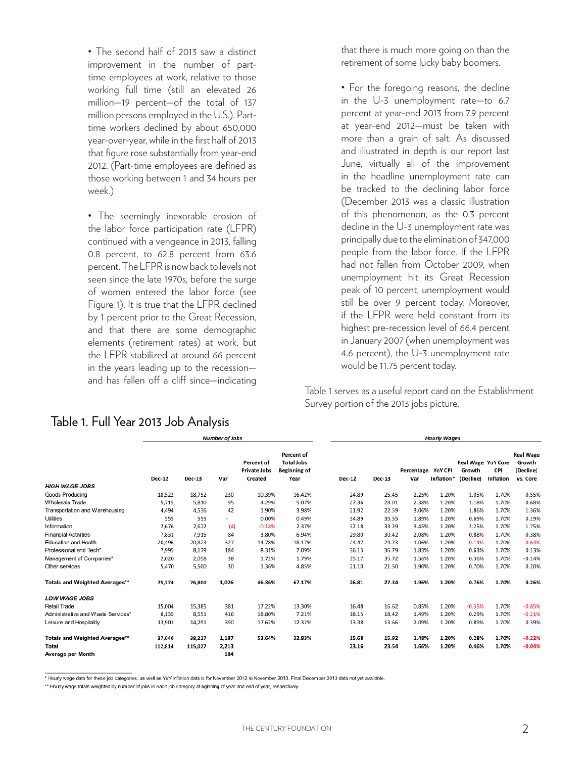• The second half of 2013 saw a distinct improvement in the number of parttime employees at work, relative to those working full time (still an elevated 26 million—19 percent—of the total of 137 million persons employed in the U.S.). Parttime workers declined by about 650,000 year-over-year, while in the first half of 2013 that figure rose substantially from year-end 2012. (Part-time employees are defined as those working between 1 and 34 hours per week.)

• The seemingly inexorable erosion of the labor force participation rate (LFPR) continued with a vengeance in 2013, falling 0.8 percent, to 62.8 percent from 63.6 percent. The LFPR is now back to levels not seen since the late 1970s, before the surge of women entered the labor force (see Figure 1). It is true that the LFPR declined by 1 percent prior to the Great Recession, and that there are some demographic elements (retirement rates) at work, but the LFPR stabilized at around 66 percent in the years leading up to the recession and has fallen off a cliff since—indicating

that there is much more going on than the retirement of some lucky baby boomers.

• For the foregoing reasons, the decline in the U-3 unemployment rate—to 6.7 percent at year-end 2013 from 7.9 percent at year-end 2012—must be taken with more than a grain of salt. As discussed and illustrated in depth is our report last June, virtually all of the improvement in the headline unemployment rate can be tracked to the declining labor force (December 2013 was a classic illustration of this phenomenon, as the 0.3 percent decline in the U-3 unemployment rate was principally due to the elimination of 347,000 people from the labor force. If the LFPR had not fallen from October 2009, when unemployment hit its Great Recession peak of 10 percent, unemployment would still be over 9 percent today. Moreover, if the LFPR were held constant from its highest pre-recession level of 66.4 percent in January 2007 (when unemployment was 4.6 percent), the U-3 unemployment rate would be 11.75 percent today.

Table 1 serves as a useful report card on the Establishment Survey portion of the 2013 jobs picture.

|                                       | <b>Number of Jobs</b> |         |       |                                              |                                                         | <b>Hourly Wages</b> |               |                   |                       |                                           |                  |                                                     |
|---------------------------------------|-----------------------|---------|-------|----------------------------------------------|---------------------------------------------------------|---------------------|---------------|-------------------|-----------------------|-------------------------------------------|------------------|-----------------------------------------------------|
|                                       | <b>Dec-12</b>         | Dec-13  | Var   | Percent of<br><b>Private Jobs</b><br>Created | Percent of<br><b>Total Jobs</b><br>Beginning of<br>Year | <b>Dec-12</b>       | <b>Dec-13</b> | Percentage<br>Var | YoY CPI<br>Inflation* | Real Wage YoY Core<br>Growth<br>(Decline) | CPI<br>Inflation | <b>Real Wage</b><br>Growth<br>(Decline)<br>vs. Core |
| <b>HIGH WAGE JOBS</b>                 |                       |         |       |                                              |                                                         |                     |               |                   |                       |                                           |                  |                                                     |
| Goods Producing                       | 18,522                | 18,752  | 230   | 10.39%                                       | 16.42%                                                  | 24.89               | 25.45         | 2.25%             | 1.20%                 | 1.05%                                     | 1.70%            | 0.55%                                               |
| Wholesale Trade                       | 5,715                 | 5,810   | 95    | 4.29%                                        | 5.07%                                                   | 27.36               | 28.01         | 2.38%             | 1.20%                 | 1.18%                                     | 1.70%            | 0.68%                                               |
| Transportation and Warehousing        | 4,494                 | 4,536   | 42    | 1.90%                                        | 3.98%                                                   | 21.92               | 22.59         | 3.06%             | 1.20%                 | 1.86%                                     | 1.70%            | 1.36%                                               |
| <b>Utilities</b>                      | 555                   | 555     |       | 0.00%                                        | 0.49%                                                   | 34.89               | 35.55         | 1.89%             | 1.20%                 | 0.69%                                     | 1.70%            | 0.19%                                               |
| Information                           | 2,676                 | 2,672   | (4)   | $-0.18%$                                     | 2.37%                                                   | 32.18               | 33.29         | 3.45%             | 1.20%                 | 2.25%                                     | 1.70%            | 1.75%                                               |
| <b>Financial Activities</b>           | 7,831                 | 7.915   | 84    | 3.80%                                        | 6.94%                                                   | 29.80               | 30.42         | 2.08%             | 1.20%                 | 0.88%                                     | 1.70%            | 0.38%                                               |
| Education and Health                  | 20,496                | 20.823  | 327   | 14.78%                                       | 18.17%                                                  | 24.47               | 24.73         | 1.06%             | 1.20%                 | $-0.14%$                                  | 1.70%            | $-0.64%$                                            |
| Professional and Tech*                | 7,995                 | 8.179   | 184   | 8.31%                                        | 7.09%                                                   | 36.13               | 36.79         | 1.83%             | 1.20%                 | 0.63%                                     | 1.70%            | 0.13%                                               |
| Management of Companies*              | 2,020                 | 2,058   | 38    | 1.72%                                        | 1.79%                                                   | 35.17               | 35.72         | 1.56%             | 1.20%                 | 0.36%                                     | 1.70%            | $-0.14%$                                            |
| Other services                        | 5,470                 | 5,500   | 30    | 1.36%                                        | 4.85%                                                   | 21.10               | 21.50         | 1.90%             | 1.20%                 | 0.70%                                     | 1.70%            | 0.20%                                               |
| <b>Totals and Weighted Averages**</b> | 75,774                | 76,800  | 1,026 | 46.36%                                       | 67.17%                                                  | 26.81               | 27.34         | 1.96%             | 1.20%                 | 0.76%                                     | 1.70%            | 0.26%                                               |
| <b>LOW WAGE JOBS</b>                  |                       |         |       |                                              |                                                         |                     |               |                   |                       |                                           |                  |                                                     |
| Retail Trade                          | 15,004                | 15,385  | 381   | 17.22%                                       | 13.30%                                                  | 16.48               | 16.62         | 0.85%             | 1.20%                 | $-0.35%$                                  | 1.70%            | $-0.85%$                                            |
| Administrative and Waste Services*    | 8,135                 | 8,551   | 416   | 18.80%                                       | 7.21%                                                   | 18.15               | 18.42         | 1.49%             | 1.20%                 | 0.29%                                     | 1.70%            | $-0.21%$                                            |
| Leisure and Hospitality               | 13.901                | 14,291  | 390   | 17.62%                                       | 12.32%                                                  | 13.38               | 13.66         | 2.09%             | 1.20%                 | 0.89%                                     | 1.70%            | 0.39%                                               |
| <b>Totals and Weighted Averages**</b> | 37,040                | 38,227  | 1,187 | 53.64%                                       | 32.83%                                                  | 15.68               | 15.92         | 1.48%             | 1.20%                 | 0.28%                                     | 1.70%            | $-0.22%$                                            |
| Total                                 | 112,814               | 115,027 | 2,213 |                                              |                                                         | 23.16               | 23.54         | 1.66%             | 1.20%                 | 0.46%                                     | 1.70%            | $-0.04%$                                            |
| Average per Month                     |                       |         | 184   |                                              |                                                         |                     |               |                   |                       |                                           |                  |                                                     |

# Table 1. Full Year 2013 Job Analysis

\* Hourly wage data for these job categories, as well as YoY inflation data is for November 2012 to November 2013. Final December 2013 data not yet available.

\*\* Hourly wage totals weighted by number of jobs in each job category at bginning of year and end of year, respectively.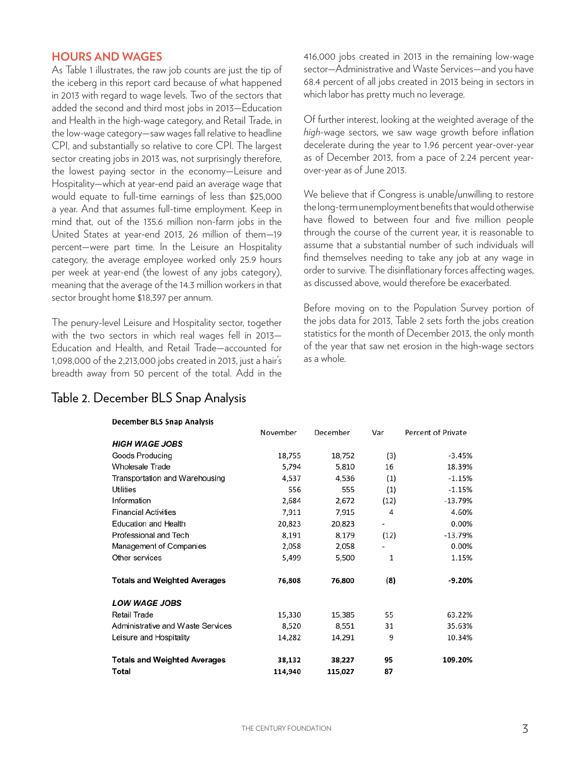### **HOURS AND WAGES**

As Table 1 illustrates, the raw job counts are just the tip of the iceberg in this report card because of what happened in 2013 with regard to wage levels. Two of the sectors that added the second and third most jobs in 2013—Education and Health in the high-wage category, and Retail Trade, in the low-wage category—saw wages fall relative to headline CPI, and substantially so relative to core CPI. The largest sector creating jobs in 2013 was, not surprisingly therefore, the lowest paying sector in the economy—Leisure and Hospitality—which at year-end paid an average wage that would equate to full-time earnings of less than \$25,000 a year. And that assumes full-time employment. Keep in mind that, out of the 135.6 million non-farm jobs in the United States at year-end 2013, 26 million of them—19 percent—were part time. In the Leisure an Hospitality category, the average employee worked only 25.9 hours per week at year-end (the lowest of any jobs category), meaning that the average of the 14.3 million workers in that sector brought home \$18,397 per annum.

The penury-level Leisure and Hospitality sector, together with the two sectors in which real wages fell in 2013— Education and Health, and Retail Trade—accounted for 1,098,000 of the 2,213,000 jobs created in 2013, just a hair's breadth away from 50 percent of the total. Add in the

## Table 2. December BLS Snap Analysis

416,000 jobs created in 2013 in the remaining low-wage sector—Administrative and Waste Services—and you have 68.4 percent of all jobs created in 2013 being in sectors in which labor has pretty much no leverage.

Of further interest, looking at the weighted average of the *high*-wage sectors, we saw wage growth before inflation decelerate during the year to 1.96 percent year-over-year as of December 2013, from a pace of 2.24 percent yearover-year as of June 2013.

We believe that if Congress is unable/unwilling to restore the long-term unemployment benefits that would otherwise have flowed to between four and five million people through the course of the current year, it is reasonable to assume that a substantial number of such individuals will find themselves needing to take any job at any wage in order to survive. The disinflationary forces affecting wages, as discussed above, would therefore be exacerbated.

Before moving on to the Population Survey portion of the jobs data for 2013, Table 2 sets forth the jobs creation statistics for the month of December 2013, the only month of the year that saw net erosion in the high-wage sectors as a whole.

|                                     | November | December | Var                      | Percent of Private |
|-------------------------------------|----------|----------|--------------------------|--------------------|
| <b>HIGH WAGE JOBS</b>               |          |          |                          |                    |
| Goods Producing                     | 18,755   | 18,752   | (3)                      | $-3.45%$           |
| <b>Wholesale Trade</b>              | 5,794    | 5,810    | 16                       | 18.39%             |
| Transportation and Warehousing      | 4,537    | 4,536    | (1)                      | $-1.15%$           |
| Utilities                           | 556      | 555      | (1)                      | $-1.15%$           |
| Information                         | 2,684    | 2,672    | (12)                     | $-13.79%$          |
| <b>Financial Activities</b>         | 7,911    | 7,915    | 4                        | 4.60%              |
| Education and Health                | 20,823   | 20,823   | $\overline{\phantom{a}}$ | 0.00%              |
| Professional and Tech               | 8,191    | 8,179    | (12)                     | $-13.79%$          |
| Management of Companies             | 2,058    | 2,058    | ٠                        | 0.00%              |
| Other services                      | 5,499    | 5,500    | 1                        | 1.15%              |
| <b>Totals and Weighted Averages</b> | 76,808   | 76,800   | (8)                      | $-9.20%$           |
| <b>LOW WAGE JOBS</b>                |          |          |                          |                    |
| Retail Trade                        | 15,330   | 15,385   | 55                       | 63.22%             |
| Administrative and Waste Services   | 8,520    | 8,551    | 31                       | 35.63%             |
| Leisure and Hospitality             | 14,282   | 14,291   | 9                        | 10.34%             |
| <b>Totals and Weighted Averages</b> | 38,132   | 38,227   | 95                       | 109.20%            |
| Total                               | 114,940  | 115,027  | 87                       |                    |

#### **December BLS Snap Analysis**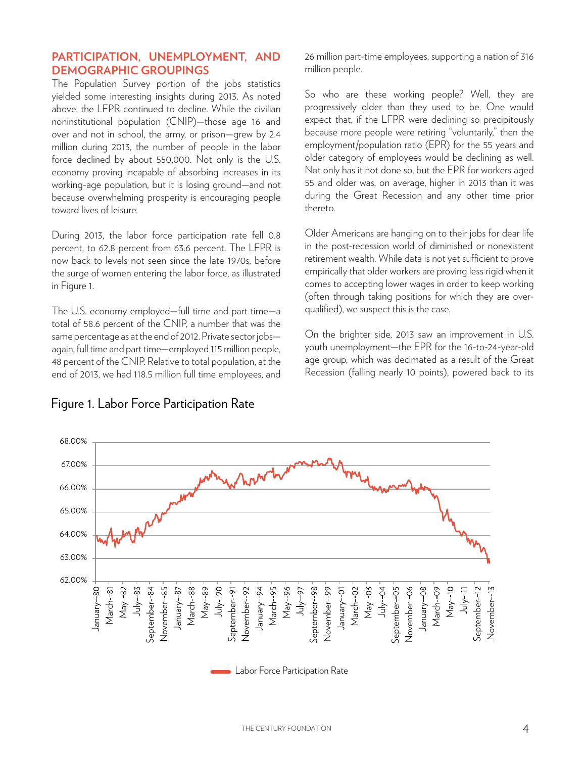## **PARTICIPATION, UNEMPLOYMENT, AND DEMOGRAPHIC GROUPINGS**

The Population Survey portion of the jobs statistics yielded some interesting insights during 2013. As noted above, the LFPR continued to decline. While the civilian noninstitutional population (CNIP)—those age 16 and over and not in school, the army, or prison—grew by 2.4 million during 2013, the number of people in the labor force declined by about 550,000. Not only is the U.S. economy proving incapable of absorbing increases in its working-age population, but it is losing ground—and not because overwhelming prosperity is encouraging people toward lives of leisure.

During 2013, the labor force participation rate fell 0.8 percent, to 62.8 percent from 63.6 percent. The LFPR is now back to levels not seen since the late 1970s, before the surge of women entering the labor force, as illustrated in Figure 1.

The U.S. economy employed—full time and part time—a total of 58.6 percent of the CNIP, a number that was the same percentage as at the end of 2012. Private sector jobs again, full time and part time—employed 115 million people, 48 percent of the CNIP. Relative to total population, at the end of 2013, we had 118.5 million full time employees, and 26 million part-time employees, supporting a nation of 316 million people.

So who are these working people? Well, they are progressively older than they used to be. One would expect that, if the LFPR were declining so precipitously because more people were retiring "voluntarily," then the employment/population ratio (EPR) for the 55 years and older category of employees would be declining as well. Not only has it not done so, but the EPR for workers aged 55 and older was, on average, higher in 2013 than it was during the Great Recession and any other time prior thereto.

Older Americans are hanging on to their jobs for dear life in the post-recession world of diminished or nonexistent retirement wealth. While data is not yet sufficient to prove empirically that older workers are proving less rigid when it comes to accepting lower wages in order to keep working (often through taking positions for which they are overqualified), we suspect this is the case.

On the brighter side, 2013 saw an improvement in U.S. youth unemployment—the EPR for the 16-to-24-year-old age group, which was decimated as a result of the Great Recession (falling nearly 10 points), powered back to its



## Figure 1. Labor Force Participation Rate